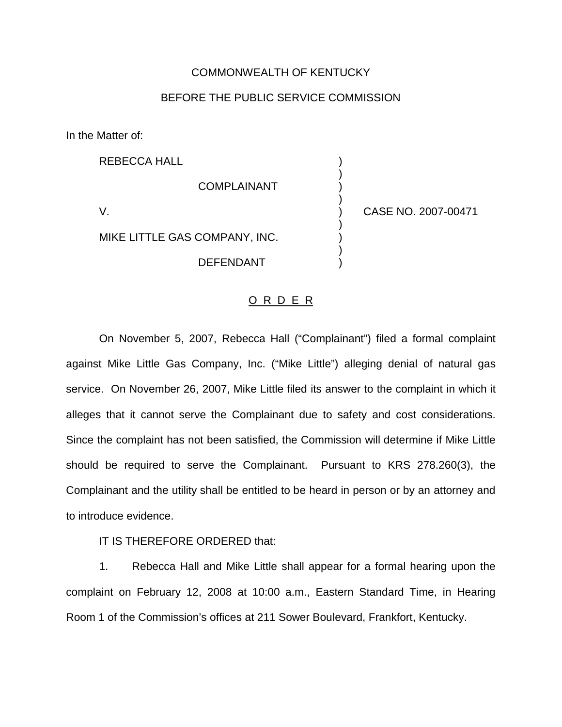## COMMONWEALTH OF KENTUCKY

## BEFORE THE PUBLIC SERVICE COMMISSION

In the Matter of:

REBECCA HALL ) ) **COMPLAINANT** ) V. ) CASE NO. 2007-00471 ) MIKE LITTLE GAS COMPANY, INC. ) **DEFENDANT** 

## O R D E R

On November 5, 2007, Rebecca Hall ("Complainant") filed a formal complaint against Mike Little Gas Company, Inc. ("Mike Little") alleging denial of natural gas service. On November 26, 2007, Mike Little filed its answer to the complaint in which it alleges that it cannot serve the Complainant due to safety and cost considerations. Since the complaint has not been satisfied, the Commission will determine if Mike Little should be required to serve the Complainant. Pursuant to KRS 278.260(3), the Complainant and the utility shall be entitled to be heard in person or by an attorney and to introduce evidence.

IT IS THEREFORE ORDERED that:

1. Rebecca Hall and Mike Little shall appear for a formal hearing upon the complaint on February 12, 2008 at 10:00 a.m., Eastern Standard Time, in Hearing Room 1 of the Commission's offices at 211 Sower Boulevard, Frankfort, Kentucky.